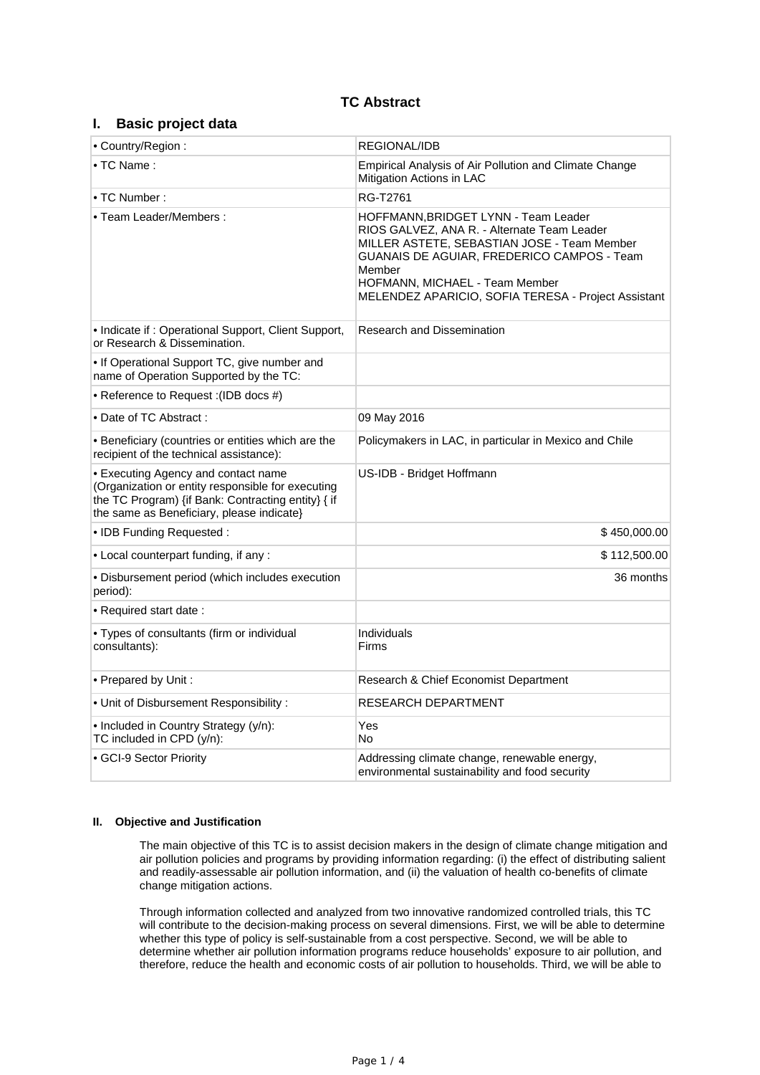# **TC Abstract**

# **I. Basic project data**

| • Country/Region:                                                                                                                                                                           | REGIONAL/IDB                                                                                                                                                                                                                                                                        |  |  |
|---------------------------------------------------------------------------------------------------------------------------------------------------------------------------------------------|-------------------------------------------------------------------------------------------------------------------------------------------------------------------------------------------------------------------------------------------------------------------------------------|--|--|
| $\bullet$ TC Name:                                                                                                                                                                          | Empirical Analysis of Air Pollution and Climate Change<br>Mitigation Actions in LAC                                                                                                                                                                                                 |  |  |
| • TC Number:                                                                                                                                                                                | RG-T2761                                                                                                                                                                                                                                                                            |  |  |
| • Team Leader/Members:                                                                                                                                                                      | HOFFMANN, BRIDGET LYNN - Team Leader<br>RIOS GALVEZ, ANA R. - Alternate Team Leader<br>MILLER ASTETE, SEBASTIAN JOSE - Team Member<br>GUANAIS DE AGUIAR, FREDERICO CAMPOS - Team<br>Member<br>HOFMANN, MICHAEL - Team Member<br>MELENDEZ APARICIO, SOFIA TERESA - Project Assistant |  |  |
| • Indicate if: Operational Support, Client Support,<br>or Research & Dissemination.                                                                                                         | Research and Dissemination                                                                                                                                                                                                                                                          |  |  |
| • If Operational Support TC, give number and<br>name of Operation Supported by the TC:                                                                                                      |                                                                                                                                                                                                                                                                                     |  |  |
| • Reference to Request : (IDB docs #)                                                                                                                                                       |                                                                                                                                                                                                                                                                                     |  |  |
| • Date of TC Abstract:                                                                                                                                                                      | 09 May 2016                                                                                                                                                                                                                                                                         |  |  |
| • Beneficiary (countries or entities which are the<br>recipient of the technical assistance):                                                                                               | Policymakers in LAC, in particular in Mexico and Chile                                                                                                                                                                                                                              |  |  |
| • Executing Agency and contact name<br>(Organization or entity responsible for executing<br>the TC Program) {if Bank: Contracting entity} { if<br>the same as Beneficiary, please indicate} | US-IDB - Bridget Hoffmann                                                                                                                                                                                                                                                           |  |  |
| • IDB Funding Requested:                                                                                                                                                                    | \$450,000.00                                                                                                                                                                                                                                                                        |  |  |
| • Local counterpart funding, if any :                                                                                                                                                       | \$112,500.00                                                                                                                                                                                                                                                                        |  |  |
| · Disbursement period (which includes execution<br>period):                                                                                                                                 | 36 months                                                                                                                                                                                                                                                                           |  |  |
| • Required start date:                                                                                                                                                                      |                                                                                                                                                                                                                                                                                     |  |  |
| • Types of consultants (firm or individual<br>consultants):                                                                                                                                 | <b>Individuals</b><br>Firms                                                                                                                                                                                                                                                         |  |  |
| • Prepared by Unit:                                                                                                                                                                         | Research & Chief Economist Department                                                                                                                                                                                                                                               |  |  |
| • Unit of Disbursement Responsibility:                                                                                                                                                      | RESEARCH DEPARTMENT                                                                                                                                                                                                                                                                 |  |  |
| • Included in Country Strategy (y/n):<br>TC included in CPD (y/n):                                                                                                                          | Yes<br>No                                                                                                                                                                                                                                                                           |  |  |
| • GCI-9 Sector Priority                                                                                                                                                                     | Addressing climate change, renewable energy,<br>environmental sustainability and food security                                                                                                                                                                                      |  |  |

## **II. Objective and Justification**

The main objective of this TC is to assist decision makers in the design of climate change mitigation and air pollution policies and programs by providing information regarding: (i) the effect of distributing salient and readily-assessable air pollution information, and (ii) the valuation of health co-benefits of climate change mitigation actions.

Through information collected and analyzed from two innovative randomized controlled trials, this TC will contribute to the decision-making process on several dimensions. First, we will be able to determine whether this type of policy is self-sustainable from a cost perspective. Second, we will be able to determine whether air pollution information programs reduce households' exposure to air pollution, and therefore, reduce the health and economic costs of air pollution to households. Third, we will be able to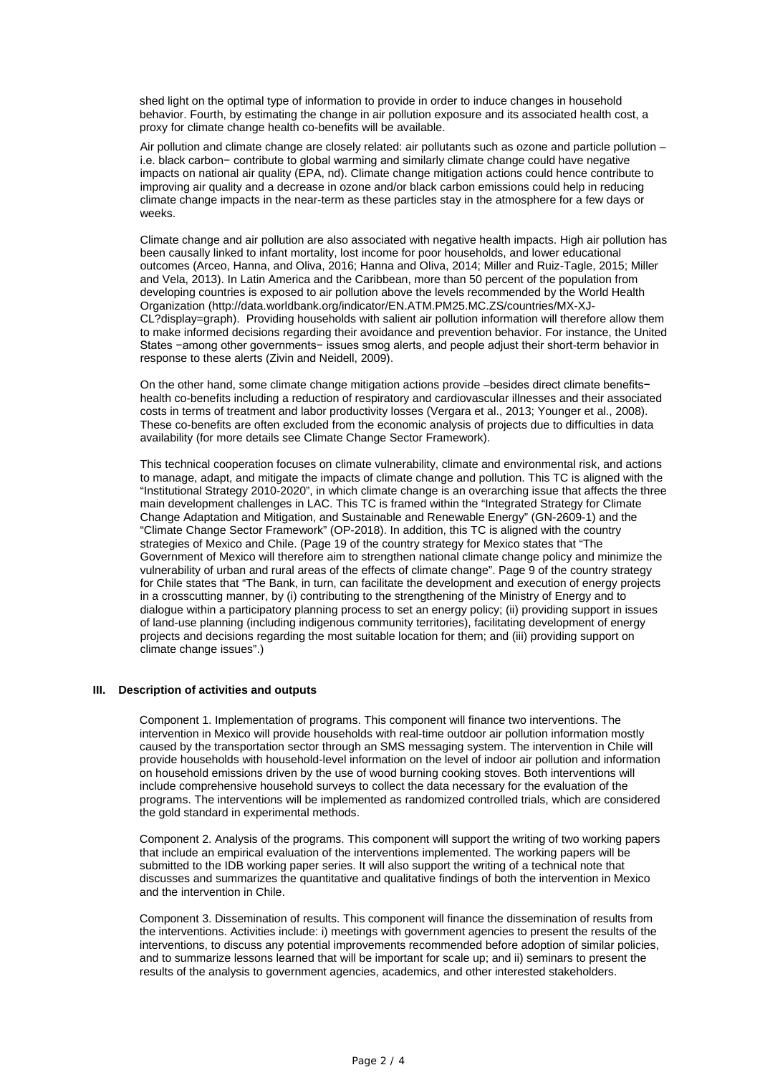shed light on the optimal type of information to provide in order to induce changes in household behavior. Fourth, by estimating the change in air pollution exposure and its associated health cost, a proxy for climate change health co-benefits will be available.

Air pollution and climate change are closely related: air pollutants such as ozone and particle pollution – i.e. black carbon− contribute to global warming and similarly climate change could have negative impacts on national air quality (EPA, nd). Climate change mitigation actions could hence contribute to improving air quality and a decrease in ozone and/or black carbon emissions could help in reducing climate change impacts in the near-term as these particles stay in the atmosphere for a few days or weeks.

Climate change and air pollution are also associated with negative health impacts. High air pollution has been causally linked to infant mortality, lost income for poor households, and lower educational outcomes (Arceo, Hanna, and Oliva, 2016; Hanna and Oliva, 2014; Miller and Ruiz-Tagle, 2015; Miller and Vela, 2013). In Latin America and the Caribbean, more than 50 percent of the population from developing countries is exposed to air pollution above the levels recommended by the World Health Organization (http://data.worldbank.org/indicator/EN.ATM.PM25.MC.ZS/countries/MX-XJ-CL?display=graph). Providing households with salient air pollution information will therefore allow them to make informed decisions regarding their avoidance and prevention behavior. For instance, the United States −among other governments− issues smog alerts, and people adjust their short-term behavior in response to these alerts (Zivin and Neidell, 2009).

On the other hand, some climate change mitigation actions provide –besides direct climate benefits− health co-benefits including a reduction of respiratory and cardiovascular illnesses and their associated costs in terms of treatment and labor productivity losses (Vergara et al., 2013; Younger et al., 2008). These co-benefits are often excluded from the economic analysis of projects due to difficulties in data availability (for more details see Climate Change Sector Framework).

This technical cooperation focuses on climate vulnerability, climate and environmental risk, and actions to manage, adapt, and mitigate the impacts of climate change and pollution. This TC is aligned with the "Institutional Strategy 2010-2020", in which climate change is an overarching issue that affects the three main development challenges in LAC. This TC is framed within the "Integrated Strategy for Climate Change Adaptation and Mitigation, and Sustainable and Renewable Energy" (GN-2609-1) and the "Climate Change Sector Framework" (OP-2018). In addition, this TC is aligned with the country strategies of Mexico and Chile. (Page 19 of the country strategy for Mexico states that "The Government of Mexico will therefore aim to strengthen national climate change policy and minimize the vulnerability of urban and rural areas of the effects of climate change". Page 9 of the country strategy for Chile states that "The Bank, in turn, can facilitate the development and execution of energy projects in a crosscutting manner, by (i) contributing to the strengthening of the Ministry of Energy and to dialogue within a participatory planning process to set an energy policy; (ii) providing support in issues of land-use planning (including indigenous community territories), facilitating development of energy projects and decisions regarding the most suitable location for them; and (iii) providing support on climate change issues".)

### **III. Description of activities and outputs**

Component 1. Implementation of programs. This component will finance two interventions. The intervention in Mexico will provide households with real-time outdoor air pollution information mostly caused by the transportation sector through an SMS messaging system. The intervention in Chile will provide households with household-level information on the level of indoor air pollution and information on household emissions driven by the use of wood burning cooking stoves. Both interventions will include comprehensive household surveys to collect the data necessary for the evaluation of the programs. The interventions will be implemented as randomized controlled trials, which are considered the gold standard in experimental methods.

Component 2. Analysis of the programs. This component will support the writing of two working papers that include an empirical evaluation of the interventions implemented. The working papers will be submitted to the IDB working paper series. It will also support the writing of a technical note that discusses and summarizes the quantitative and qualitative findings of both the intervention in Mexico and the intervention in Chile.

Component 3. Dissemination of results. This component will finance the dissemination of results from the interventions. Activities include: i) meetings with government agencies to present the results of the interventions, to discuss any potential improvements recommended before adoption of similar policies, and to summarize lessons learned that will be important for scale up; and ii) seminars to present the results of the analysis to government agencies, academics, and other interested stakeholders.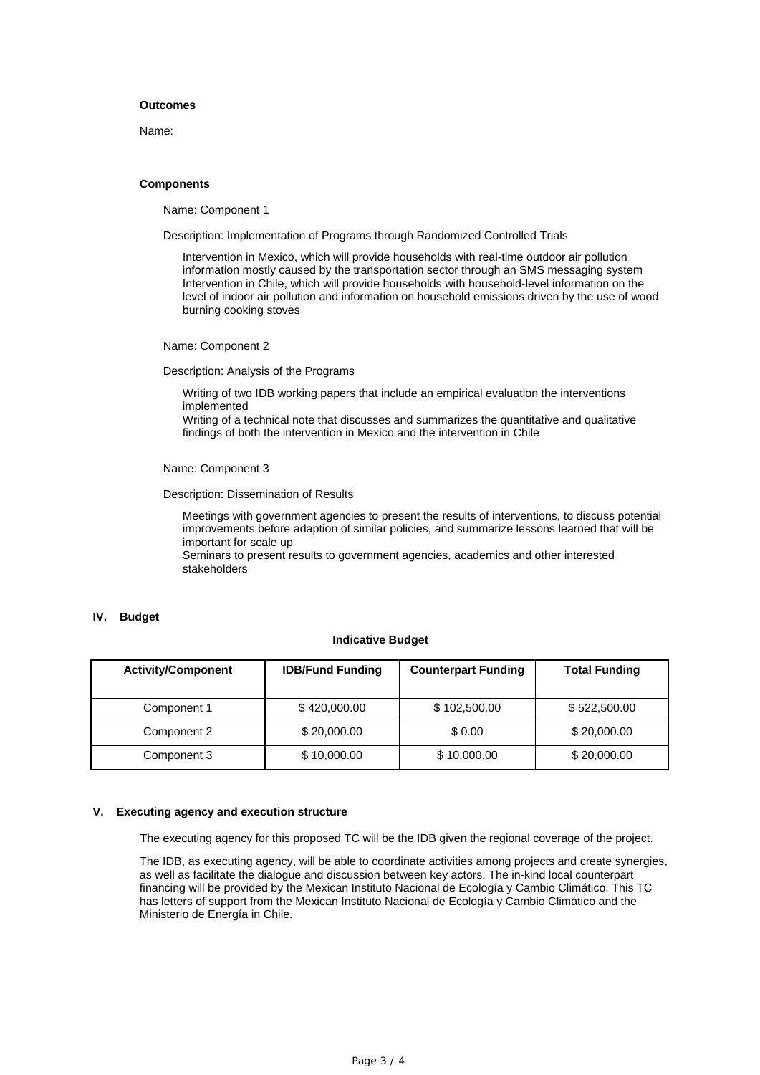## **Outcomes**

Name:

#### **Components**

Name: Component 1

Description: Implementation of Programs through Randomized Controlled Trials

Intervention in Mexico, which will provide households with real-time outdoor air pollution information mostly caused by the transportation sector through an SMS messaging system Intervention in Chile, which will provide households with household-level information on the level of indoor air pollution and information on household emissions driven by the use of wood burning cooking stoves

Name: Component 2

Description: Analysis of the Programs

Writing of two IDB working papers that include an empirical evaluation the interventions implemented

Writing of a technical note that discusses and summarizes the quantitative and qualitative findings of both the intervention in Mexico and the intervention in Chile

Name: Component 3

Description: Dissemination of Results

Meetings with government agencies to present the results of interventions, to discuss potential improvements before adaption of similar policies, and summarize lessons learned that will be important for scale up

Seminars to present results to government agencies, academics and other interested stakeholders

### **IV. Budget**

#### **Indicative Budget**

| <b>Activity/Component</b> | <b>IDB/Fund Funding</b> | <b>Counterpart Funding</b> | <b>Total Funding</b> |
|---------------------------|-------------------------|----------------------------|----------------------|
| Component 1               | \$420,000.00            | \$102,500.00               | \$522,500.00         |
| Component 2               | \$20,000.00             | \$0.00                     | \$20,000.00          |
| Component 3               | \$10,000.00             | \$10,000.00                | \$20,000.00          |

#### **V. Executing agency and execution structure**

The executing agency for this proposed TC will be the IDB given the regional coverage of the project.

The IDB, as executing agency, will be able to coordinate activities among projects and create synergies, as well as facilitate the dialogue and discussion between key actors. The in-kind local counterpart financing will be provided by the Mexican Instituto Nacional de Ecología y Cambio Climático. This TC has letters of support from the Mexican Instituto Nacional de Ecología y Cambio Climático and the Ministerio de Energía in Chile.